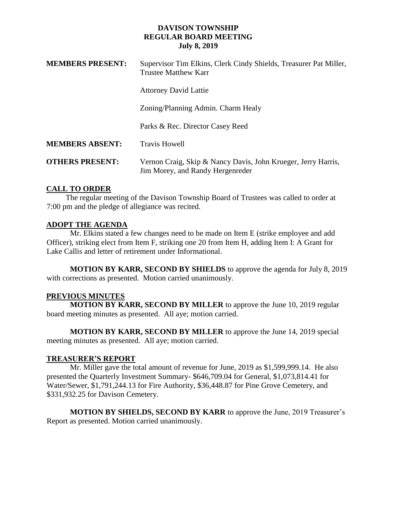| <b>MEMBERS PRESENT:</b> | Supervisor Tim Elkins, Clerk Cindy Shields, Treasurer Pat Miller,<br><b>Trustee Matthew Karr</b>  |
|-------------------------|---------------------------------------------------------------------------------------------------|
|                         | <b>Attorney David Lattie</b>                                                                      |
|                         | Zoning/Planning Admin. Charm Healy                                                                |
|                         | Parks & Rec. Director Casey Reed                                                                  |
| <b>MEMBERS ABSENT:</b>  | <b>Travis Howell</b>                                                                              |
| <b>OTHERS PRESENT:</b>  | Vernon Craig, Skip & Nancy Davis, John Krueger, Jerry Harris,<br>Jim Morey, and Randy Hergenreder |

## **CALL TO ORDER**

 The regular meeting of the Davison Township Board of Trustees was called to order at 7:00 pm and the pledge of allegiance was recited.

# **ADOPT THE AGENDA**

Mr. Elkins stated a few changes need to be made on Item E (strike employee and add Officer), striking elect from Item F, striking one 20 from Item H, adding Item I: A Grant for Lake Callis and letter of retirement under Informational.

**MOTION BY KARR, SECOND BY SHIELDS** to approve the agenda for July 8, 2019 with corrections as presented. Motion carried unanimously.

## **PREVIOUS MINUTES**

**MOTION BY KARR, SECOND BY MILLER** to approve the June 10, 2019 regular board meeting minutes as presented. All aye; motion carried.

**MOTION BY KARR, SECOND BY MILLER** to approve the June 14, 2019 special meeting minutes as presented. All aye; motion carried.

## **TREASURER'S REPORT**

Mr. Miller gave the total amount of revenue for June, 2019 as \$1,599,999.14. He also presented the Quarterly Investment Summary- \$646,709.04 for General, \$1,073,814.41 for Water/Sewer, \$1,791,244.13 for Fire Authority, \$36,448.87 for Pine Grove Cemetery, and \$331,932.25 for Davison Cemetery.

**MOTION BY SHIELDS, SECOND BY KARR** to approve the June, 2019 Treasurer's Report as presented. Motion carried unanimously.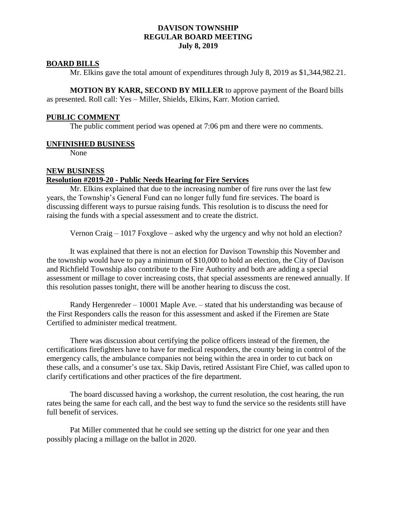#### **BOARD BILLS**

Mr. Elkins gave the total amount of expenditures through July 8, 2019 as \$1,344,982.21.

**MOTION BY KARR, SECOND BY MILLER** to approve payment of the Board bills as presented. Roll call: Yes – Miller, Shields, Elkins, Karr. Motion carried.

#### **PUBLIC COMMENT**

The public comment period was opened at 7:06 pm and there were no comments.

#### **UNFINISHED BUSINESS**

None

# **NEW BUSINESS**

#### **Resolution #2019-20 - Public Needs Hearing for Fire Services**

Mr. Elkins explained that due to the increasing number of fire runs over the last few years, the Township's General Fund can no longer fully fund fire services. The board is discussing different ways to pursue raising funds. This resolution is to discuss the need for raising the funds with a special assessment and to create the district.

Vernon Craig – 1017 Foxglove – asked why the urgency and why not hold an election?

It was explained that there is not an election for Davison Township this November and the township would have to pay a minimum of \$10,000 to hold an election, the City of Davison and Richfield Township also contribute to the Fire Authority and both are adding a special assessment or millage to cover increasing costs, that special assessments are renewed annually. If this resolution passes tonight, there will be another hearing to discuss the cost.

Randy Hergenreder – 10001 Maple Ave. – stated that his understanding was because of the First Responders calls the reason for this assessment and asked if the Firemen are State Certified to administer medical treatment.

There was discussion about certifying the police officers instead of the firemen, the certifications firefighters have to have for medical responders, the county being in control of the emergency calls, the ambulance companies not being within the area in order to cut back on these calls, and a consumer's use tax. Skip Davis, retired Assistant Fire Chief, was called upon to clarify certifications and other practices of the fire department.

The board discussed having a workshop, the current resolution, the cost hearing, the run rates being the same for each call, and the best way to fund the service so the residents still have full benefit of services.

Pat Miller commented that he could see setting up the district for one year and then possibly placing a millage on the ballot in 2020.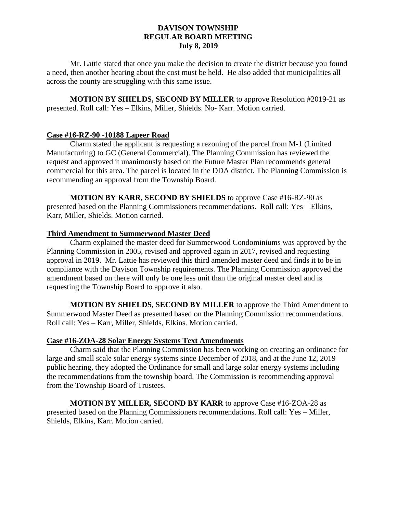Mr. Lattie stated that once you make the decision to create the district because you found a need, then another hearing about the cost must be held. He also added that municipalities all across the county are struggling with this same issue.

**MOTION BY SHIELDS, SECOND BY MILLER** to approve Resolution #2019-21 as presented. Roll call: Yes – Elkins, Miller, Shields. No- Karr. Motion carried.

# **Case #16-RZ-90 -10188 Lapeer Road**

Charm stated the applicant is requesting a rezoning of the parcel from M-1 (Limited Manufacturing) to GC (General Commercial). The Planning Commission has reviewed the request and approved it unanimously based on the Future Master Plan recommends general commercial for this area. The parcel is located in the DDA district. The Planning Commission is recommending an approval from the Township Board.

**MOTION BY KARR, SECOND BY SHIELDS** to approve Case #16-RZ-90 as presented based on the Planning Commissioners recommendations. Roll call: Yes – Elkins, Karr, Miller, Shields. Motion carried.

## **Third Amendment to Summerwood Master Deed**

Charm explained the master deed for Summerwood Condominiums was approved by the Planning Commission in 2005, revised and approved again in 2017, revised and requesting approval in 2019. Mr. Lattie has reviewed this third amended master deed and finds it to be in compliance with the Davison Township requirements. The Planning Commission approved the amendment based on there will only be one less unit than the original master deed and is requesting the Township Board to approve it also.

**MOTION BY SHIELDS, SECOND BY MILLER** to approve the Third Amendment to Summerwood Master Deed as presented based on the Planning Commission recommendations. Roll call: Yes – Karr, Miller, Shields, Elkins. Motion carried.

## **Case #16-ZOA-28 Solar Energy Systems Text Amendments**

Charm said that the Planning Commission has been working on creating an ordinance for large and small scale solar energy systems since December of 2018, and at the June 12, 2019 public hearing, they adopted the Ordinance for small and large solar energy systems including the recommendations from the township board. The Commission is recommending approval from the Township Board of Trustees.

**MOTION BY MILLER, SECOND BY KARR** to approve Case #16-ZOA-28 as presented based on the Planning Commissioners recommendations. Roll call: Yes – Miller, Shields, Elkins, Karr. Motion carried.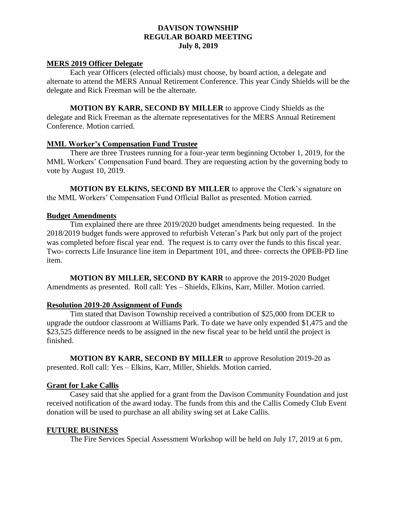#### **MERS 2019 Officer Delegate**

Each year Officers (elected officials) must choose, by board action, a delegate and alternate to attend the MERS Annual Retirement Conference. This year Cindy Shields will be the delegate and Rick Freeman will be the alternate.

**MOTION BY KARR, SECOND BY MILLER** to approve Cindy Shields as the delegate and Rick Freeman as the alternate representatives for the MERS Annual Retirement Conference. Motion carried.

#### **MML Worker's Compensation Fund Trustee**

There are three Trustees running for a four-year term beginning October 1, 2019, for the MML Workers' Compensation Fund board. They are requesting action by the governing body to vote by August 10, 2019.

**MOTION BY ELKINS, SECOND BY MILLER** to approve the Clerk's signature on the MML Workers' Compensation Fund Official Ballot as presented. Motion carried.

#### **Budget Amendments**

Tim explained there are three 2019/2020 budget amendments being requested. In the 2018/2019 budget funds were approved to refurbish Veteran's Park but only part of the project was completed before fiscal year end. The request is to carry over the funds to this fiscal year. Two- corrects Life Insurance line item in Department 101, and three- corrects the OPEB-PD line item.

**MOTION BY MILLER, SECOND BY KARR** to approve the 2019-2020 Budget Amendments as presented. Roll call: Yes – Shields, Elkins, Karr, Miller. Motion carried.

#### **Resolution 2019-20 Assignment of Funds**

Tim stated that Davison Township received a contribution of \$25,000 from DCER to upgrade the outdoor classroom at Williams Park. To date we have only expended \$1,475 and the \$23,525 difference needs to be assigned in the new fiscal year to be held until the project is finished.

**MOTION BY KARR, SECOND BY MILLER** to approve Resolution 2019-20 as presented. Roll call: Yes – Elkins, Karr, Miller, Shields. Motion carried.

#### **Grant for Lake Callis**

Casey said that she applied for a grant from the Davison Community Foundation and just received notification of the award today. The funds from this and the Callis Comedy Club Event donation will be used to purchase an all ability swing set at Lake Callis.

#### **FUTURE BUSINESS**

The Fire Services Special Assessment Workshop will be held on July 17, 2019 at 6 pm.